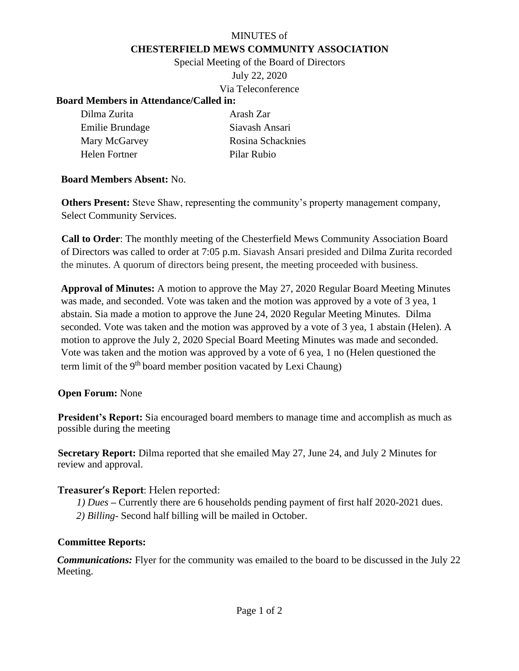## MINUTES of **CHESTERFIELD MEWS COMMUNITY ASSOCIATION**

Special Meeting of the Board of Directors July 22, 2020 Via Teleconference

### **Board Members in Attendance/Called in:**

| Dilma Zurita    | Arash Zar         |
|-----------------|-------------------|
| Emilie Brundage | Siavash Ansari    |
| Mary McGarvey   | Rosina Schacknies |
| Helen Fortner   | Pilar Rubio       |

### **Board Members Absent:** No.

**Others Present:** Steve Shaw, representing the community's property management company, Select Community Services.

**Call to Order**: The monthly meeting of the Chesterfield Mews Community Association Board of Directors was called to order at 7:05 p.m. Siavash Ansari presided and Dilma Zurita recorded the minutes. A quorum of directors being present, the meeting proceeded with business.

**Approval of Minutes:** A motion to approve the May 27, 2020 Regular Board Meeting Minutes was made, and seconded. Vote was taken and the motion was approved by a vote of 3 yea, 1 abstain. Sia made a motion to approve the June 24, 2020 Regular Meeting Minutes. Dilma seconded. Vote was taken and the motion was approved by a vote of 3 yea, 1 abstain (Helen). A motion to approve the July 2, 2020 Special Board Meeting Minutes was made and seconded. Vote was taken and the motion was approved by a vote of 6 yea, 1 no (Helen questioned the term limit of the 9<sup>th</sup> board member position vacated by Lexi Chaung)

### **Open Forum:** None

**President's Report:** Sia encouraged board members to manage time and accomplish as much as possible during the meeting

**Secretary Report:** Dilma reported that she emailed May 27, June 24, and July 2 Minutes for review and approval.

### **Treasurer's Report**: Helen reported:

- *1) Dues* **–** Currently there are 6 households pending payment of first half 2020-2021 dues.
- *2) Billing-* Second half billing will be mailed in October.

#### **Committee Reports:**

*Communications:* Flyer for the community was emailed to the board to be discussed in the July 22 Meeting.